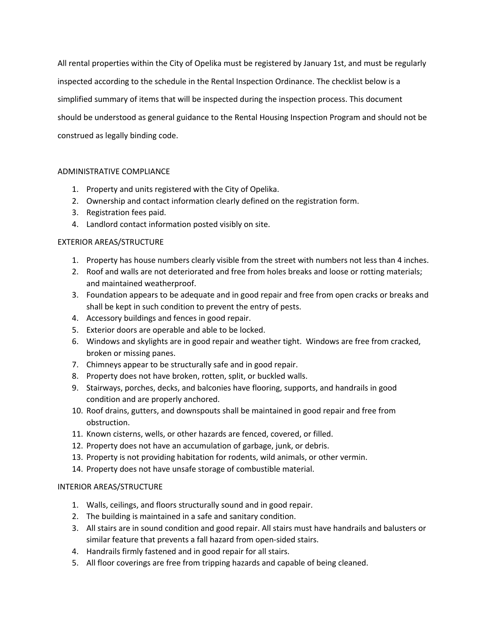All rental properties within the City of Opelika must be registered by January 1st, and must be regularly inspected according to the schedule in the Rental Inspection Ordinance. The checklist below is a simplified summary of items that will be inspected during the inspection process. This document should be understood as general guidance to the Rental Housing Inspection Program and should not be construed as legally binding code.

## ADMINISTRATIVE COMPLIANCE

- 1. Property and units registered with the City of Opelika.
- 2. Ownership and contact information clearly defined on the registration form.
- 3. Registration fees paid.
- 4. Landlord contact information posted visibly on site.

### EXTERIOR AREAS/STRUCTURE

- 1. Property has house numbers clearly visible from the street with numbers not less than 4 inches.
- 2. Roof and walls are not deteriorated and free from holes breaks and loose or rotting materials; and maintained weatherproof.
- 3. Foundation appears to be adequate and in good repair and free from open cracks or breaks and shall be kept in such condition to prevent the entry of pests.
- 4. Accessory buildings and fences in good repair.
- 5. Exterior doors are operable and able to be locked.
- 6. Windows and skylights are in good repair and weather tight. Windows are free from cracked, broken or missing panes.
- 7. Chimneys appear to be structurally safe and in good repair.
- 8. Property does not have broken, rotten, split, or buckled walls.
- 9. Stairways, porches, decks, and balconies have flooring, supports, and handrails in good condition and are properly anchored.
- 10. Roof drains, gutters, and downspouts shall be maintained in good repair and free from obstruction.
- 11. Known cisterns, wells, or other hazards are fenced, covered, or filled.
- 12. Property does not have an accumulation of garbage, junk, or debris.
- 13. Property is not providing habitation for rodents, wild animals, or other vermin.
- 14. Property does not have unsafe storage of combustible material.

## INTERIOR AREAS/STRUCTURE

- 1. Walls, ceilings, and floors structurally sound and in good repair.
- 2. The building is maintained in a safe and sanitary condition.
- 3. All stairs are in sound condition and good repair. All stairs must have handrails and balusters or similar feature that prevents a fall hazard from open-sided stairs.
- 4. Handrails firmly fastened and in good repair for all stairs.
- 5. All floor coverings are free from tripping hazards and capable of being cleaned.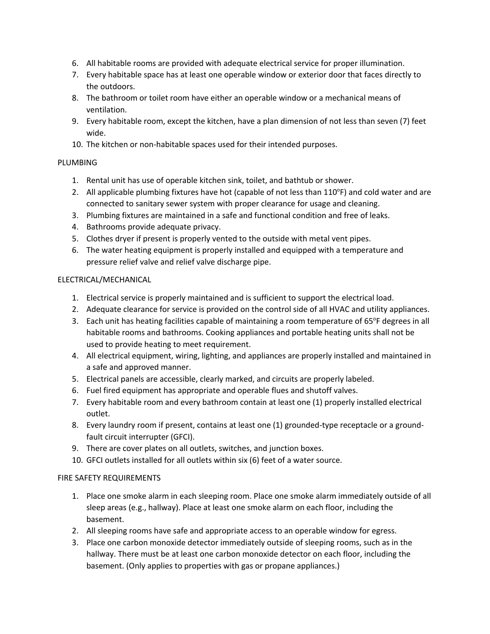- 6. All habitable rooms are provided with adequate electrical service for proper illumination.
- 7. Every habitable space has at least one operable window or exterior door that faces directly to the outdoors.
- 8. The bathroom or toilet room have either an operable window or a mechanical means of ventilation.
- 9. Every habitable room, except the kitchen, have a plan dimension of not less than seven (7) feet wide.
- 10. The kitchen or non-habitable spaces used for their intended purposes.

# PLUMBING

- 1. Rental unit has use of operable kitchen sink, toilet, and bathtub or shower.
- 2. All applicable plumbing fixtures have hot (capable of not less than 110°F) and cold water and are connected to sanitary sewer system with proper clearance for usage and cleaning.
- 3. Plumbing fixtures are maintained in a safe and functional condition and free of leaks.
- 4. Bathrooms provide adequate privacy.
- 5. Clothes dryer if present is properly vented to the outside with metal vent pipes.
- 6. The water heating equipment is properly installed and equipped with a temperature and pressure relief valve and relief valve discharge pipe.

## ELECTRICAL/MECHANICAL

- 1. Electrical service is properly maintained and is sufficient to support the electrical load.
- 2. Adequate clearance for service is provided on the control side of all HVAC and utility appliances.
- 3. Each unit has heating facilities capable of maintaining a room temperature of 65°F degrees in all habitable rooms and bathrooms. Cooking appliances and portable heating units shall not be used to provide heating to meet requirement.
- 4. All electrical equipment, wiring, lighting, and appliances are properly installed and maintained in a safe and approved manner.
- 5. Electrical panels are accessible, clearly marked, and circuits are properly labeled.
- 6. Fuel fired equipment has appropriate and operable flues and shutoff valves.
- 7. Every habitable room and every bathroom contain at least one (1) properly installed electrical outlet.
- 8. Every laundry room if present, contains at least one (1) grounded-type receptacle or a groundfault circuit interrupter (GFCI).
- 9. There are cover plates on all outlets, switches, and junction boxes.
- 10. GFCI outlets installed for all outlets within six (6) feet of a water source.

## FIRE SAFETY REQUIREMENTS

- 1. Place one smoke alarm in each sleeping room. Place one smoke alarm immediately outside of all sleep areas (e.g., hallway). Place at least one smoke alarm on each floor, including the basement.
- 2. All sleeping rooms have safe and appropriate access to an operable window for egress.
- 3. Place one carbon monoxide detector immediately outside of sleeping rooms, such as in the hallway. There must be at least one carbon monoxide detector on each floor, including the basement. (Only applies to properties with gas or propane appliances.)